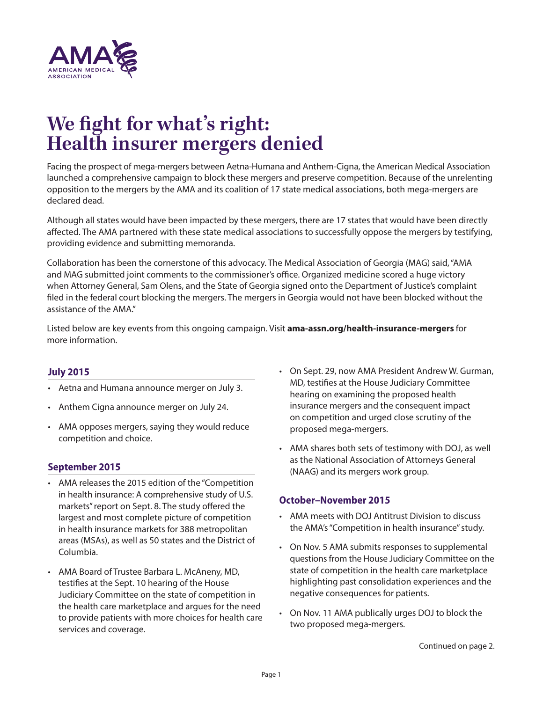

# **We fight for what's right: Health insurer mergers denied**

Facing the prospect of mega-mergers between Aetna-Humana and Anthem-Cigna, the American Medical Association launched a comprehensive campaign to block these mergers and preserve competition. Because of the unrelenting opposition to the mergers by the AMA and its coalition of 17 state medical associations, both mega-mergers are declared dead.

Although all states would have been impacted by these mergers, there are 17 states that would have been directly affected. The AMA partnered with these state medical associations to successfully oppose the mergers by testifying, providing evidence and submitting memoranda.

Collaboration has been the cornerstone of this advocacy. The Medical Association of Georgia (MAG) said, "AMA and MAG submitted joint comments to the commissioner's office. Organized medicine scored a huge victory when Attorney General, Sam Olens, and the State of Georgia signed onto the Department of Justice's complaint filed in the federal court blocking the mergers. The mergers in Georgia would not have been blocked without the assistance of the AMA."

Listed below are key events from this ongoing campaign. Visit **[ama-assn.org/health-insurance-mergers](http://ama-assn.org/health-insurance-mergers)** for more information.

## **July 2015**

- Aetna and Humana announce merger on July 3.
- Anthem Cigna announce merger on July 24.
- AMA opposes mergers, saying they would reduce competition and choice.

## **September 2015**

- AMA releases the 2015 edition of the "Competition in health insurance: A comprehensive study of U.S. markets" report on Sept. 8. The study offered the largest and most complete picture of competition in health insurance markets for 388 metropolitan areas (MSAs), as well as 50 states and the District of Columbia.
- AMA Board of Trustee Barbara L. McAneny, MD, testifies at the Sept. 10 hearing of the House Judiciary Committee on the state of competition in the health care marketplace and argues for the need to provide patients with more choices for health care services and coverage.
- On Sept. 29, now AMA President Andrew W. Gurman, MD, testifies at the House Judiciary Committee hearing on examining the proposed health insurance mergers and the consequent impact on competition and urged close scrutiny of the proposed mega-mergers.
- AMA shares both sets of testimony with DOJ, as well as the National Association of Attorneys General (NAAG) and its mergers work group.

## **October–November 2015**

- AMA meets with DOJ Antitrust Division to discuss the AMA's "Competition in health insurance" study.
- On Nov. 5 AMA submits responses to supplemental questions from the House Judiciary Committee on the state of competition in the health care marketplace highlighting past consolidation experiences and the negative consequences for patients.
- On Nov. 11 AMA publically urges DOJ to block the two proposed mega-mergers.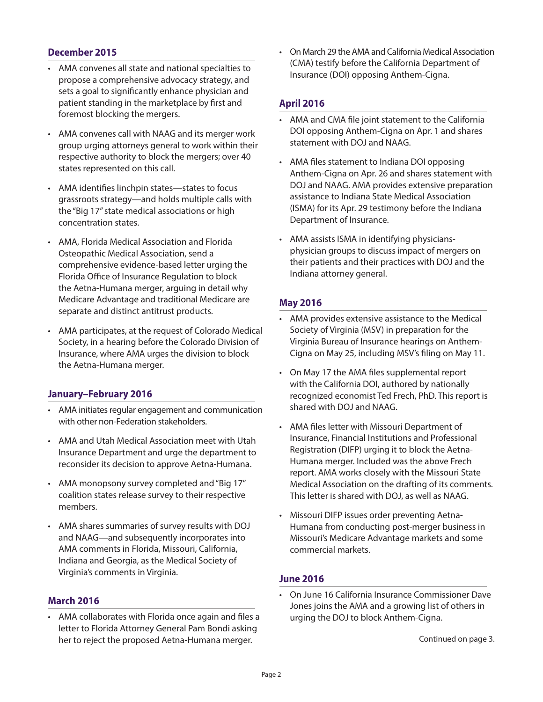## **December 2015**

- AMA convenes all state and national specialties to propose a comprehensive advocacy strategy, and sets a goal to significantly enhance physician and patient standing in the marketplace by first and foremost blocking the mergers.
- AMA convenes call with NAAG and its merger work group urging attorneys general to work within their respective authority to block the mergers; over 40 states represented on this call.
- AMA identifies linchpin states—states to focus grassroots strategy—and holds multiple calls with the "Big 17" state medical associations or high concentration states.
- AMA, Florida Medical Association and Florida Osteopathic Medical Association, send a comprehensive evidence-based letter urging the Florida Office of Insurance Regulation to block the Aetna-Humana merger, arguing in detail why Medicare Advantage and traditional Medicare are separate and distinct antitrust products.
- AMA participates, at the request of Colorado Medical Society, in a hearing before the Colorado Division of Insurance, where AMA urges the division to block the Aetna-Humana merger.

## **January–February 2016**

- AMA initiates regular engagement and communication with other non-Federation stakeholders.
- AMA and Utah Medical Association meet with Utah Insurance Department and urge the department to reconsider its decision to approve Aetna-Humana.
- AMA monopsony survey completed and "Big 17" coalition states release survey to their respective members.
- AMA shares summaries of survey results with DOJ and NAAG—and subsequently incorporates into AMA comments in Florida, Missouri, California, Indiana and Georgia, as the Medical Society of Virginia's comments in Virginia.

## **March 2016**

• AMA collaborates with Florida once again and files a letter to Florida Attorney General Pam Bondi asking her to reject the proposed Aetna-Humana merger.

• On March 29 the AMA and California Medical Association (CMA) testify before the California Department of Insurance (DOI) opposing Anthem-Cigna.

## **April 2016**

- AMA and CMA file joint statement to the California DOI opposing Anthem-Cigna on Apr. 1 and shares statement with DOJ and NAAG.
- AMA files statement to Indiana DOI opposing Anthem-Cigna on Apr. 26 and shares statement with DOJ and NAAG. AMA provides extensive preparation assistance to Indiana State Medical Association (ISMA) for its Apr. 29 testimony before the Indiana Department of Insurance.
- AMA assists ISMA in identifying physiciansphysician groups to discuss impact of mergers on their patients and their practices with DOJ and the Indiana attorney general.

## **May 2016**

- AMA provides extensive assistance to the Medical Society of Virginia (MSV) in preparation for the Virginia Bureau of Insurance hearings on Anthem-Cigna on May 25, including MSV's filing on May 11.
- On May 17 the AMA files supplemental report with the California DOI, authored by nationally recognized economist Ted Frech, PhD. This report is shared with DOJ and NAAG.
- AMA files letter with Missouri Department of Insurance, Financial Institutions and Professional Registration (DIFP) urging it to block the Aetna-Humana merger. Included was the above Frech report. AMA works closely with the Missouri State Medical Association on the drafting of its comments. This letter is shared with DOJ, as well as NAAG.
- Missouri DIFP issues order preventing Aetna-Humana from conducting post-merger business in Missouri's Medicare Advantage markets and some commercial markets.

## **June 2016**

• On June 16 California Insurance Commissioner Dave Jones joins the AMA and a growing list of others in urging the DOJ to block Anthem-Cigna.